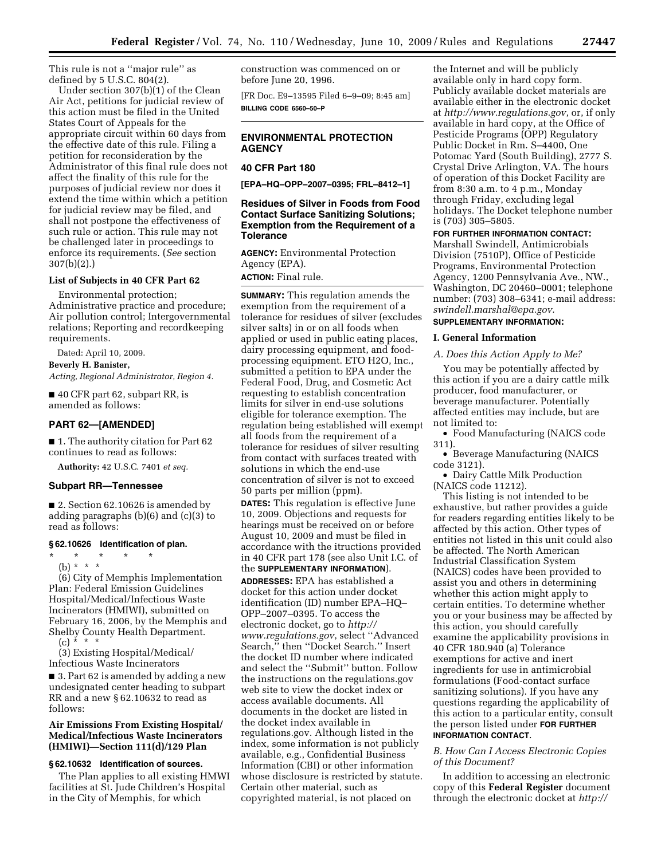This rule is not a ''major rule'' as defined by 5 U.S.C. 804(2).

Under section 307(b)(1) of the Clean Air Act, petitions for judicial review of this action must be filed in the United States Court of Appeals for the appropriate circuit within 60 days from the effective date of this rule. Filing a petition for reconsideration by the Administrator of this final rule does not affect the finality of this rule for the purposes of judicial review nor does it extend the time within which a petition for judicial review may be filed, and shall not postpone the effectiveness of such rule or action. This rule may not be challenged later in proceedings to enforce its requirements. (*See* section 307(b)(2).)

#### **List of Subjects in 40 CFR Part 62**

Environmental protection; Administrative practice and procedure; Air pollution control; Intergovernmental relations; Reporting and recordkeeping requirements.

Dated: April 10, 2009.

**Beverly H. Banister,** 

*Acting, Regional Administrator, Region 4.* 

■ 40 CFR part 62, subpart RR, is amended as follows:

#### **PART 62—[AMENDED]**

■ 1. The authority citation for Part 62 continues to read as follows:

**Authority:** 42 U.S.C. 7401 *et seq.* 

#### **Subpart RR—Tennessee**

■ 2. Section 62.10626 is amended by adding paragraphs (b)(6) and (c)(3) to read as follows:

#### **§ 62.10626 Identification of plan.**

\* \* \* \* \* (b) \* \* \*

(6) City of Memphis Implementation Plan: Federal Emission Guidelines Hospital/Medical/Infectious Waste Incinerators (HMIWI), submitted on February 16, 2006, by the Memphis and Shelby County Health Department. (c)  $* * * *$ 

(3) Existing Hospital/Medical/ Infectious Waste Incinerators

■ 3. Part 62 is amended by adding a new undesignated center heading to subpart RR and a new § 62.10632 to read as follows:

#### **Air Emissions From Existing Hospital/ Medical/Infectious Waste Incinerators (HMIWI)—Section 111(d)/129 Plan**

## **§ 62.10632 Identification of sources.**

The Plan applies to all existing HMWI facilities at St. Jude Children's Hospital in the City of Memphis, for which

construction was commenced on or before June 20, 1996.

[FR Doc. E9–13595 Filed 6–9–09; 8:45 am] **BILLING CODE 6560–50–P** 

## **ENVIRONMENTAL PROTECTION AGENCY**

#### **40 CFR Part 180**

**[EPA–HQ–OPP–2007–0395; FRL–8412–1]** 

## **Residues of Silver in Foods from Food Contact Surface Sanitizing Solutions; Exemption from the Requirement of a Tolerance**

**AGENCY:** Environmental Protection Agency (EPA). **ACTION:** Final rule.

**SUMMARY:** This regulation amends the exemption from the requirement of a tolerance for residues of silver (excludes silver salts) in or on all foods when applied or used in public eating places, dairy processing equipment, and foodprocessing equipment. ETO H2O, Inc., submitted a petition to EPA under the Federal Food, Drug, and Cosmetic Act requesting to establish concentration limits for silver in end-use solutions eligible for tolerance exemption. The regulation being established will exempt all foods from the requirement of a tolerance for residues of silver resulting from contact with surfaces treated with solutions in which the end-use concentration of silver is not to exceed 50 parts per million (ppm).

**DATES:** This regulation is effective June 10, 2009. Objections and requests for hearings must be received on or before August 10, 2009 and must be filed in accordance with the itructions provided in 40 CFR part 178 (see also Unit I.C. of the **SUPPLEMENTARY INFORMATION**).

**ADDRESSES:** EPA has established a docket for this action under docket identification (ID) number EPA–HQ– OPP–2007–0395. To access the [electronic docket, go to](http://www.regulations.gov) *http:// www.regulations.gov*, select ''Advanced Search,'' then ''Docket Search.'' Insert the docket ID number where indicated and select the ''Submit'' button. Follow the instructions on the regulations.gov web site to view the docket index or access available documents. All documents in the docket are listed in the docket index available in regulations.gov. Although listed in the index, some information is not publicly available, e.g., Confidential Business Information (CBI) or other information whose disclosure is restricted by statute. Certain other material, such as copyrighted material, is not placed on

the Internet and will be publicly available only in hard copy form. Publicly available docket materials are available either in the electronic docket at *<http://www.regulations.gov>*, or, if only available in hard copy, at the Office of Pesticide Programs (OPP) Regulatory Public Docket in Rm. S–4400, One Potomac Yard (South Building), 2777 S. Crystal Drive Arlington, VA. The hours of operation of this Docket Facility are from 8:30 a.m. to 4 p.m., Monday through Friday, excluding legal holidays. The Docket telephone number is (703) 305–5805.

## **FOR FURTHER INFORMATION CONTACT:**

Marshall Swindell, Antimicrobials Division (7510P), Office of Pesticide Programs, Environmental Protection Agency, 1200 Pennsylvania Ave., NW., Washington, DC 20460–0001; telephone number: (703) 308–6341; e-mail address: *[swindell.marshal@epa.gov.](mailto:swindell.marshal@epa.gov)*  **SUPPLEMENTARY INFORMATION:** 

# **I. General Information**

*A. Does this Action Apply to Me?* 

You may be potentially affected by this action if you are a dairy cattle milk producer, food manufacturer, or beverage manufacturer. Potentially affected entities may include, but are not limited to:

• Food Manufacturing (NAICS code 311).

• Beverage Manufacturing (NAICS code 3121).

• Dairy Cattle Milk Production (NAICS code 11212).

This listing is not intended to be exhaustive, but rather provides a guide for readers regarding entities likely to be affected by this action. Other types of entities not listed in this unit could also be affected. The North American Industrial Classification System (NAICS) codes have been provided to assist you and others in determining whether this action might apply to certain entities. To determine whether you or your business may be affected by this action, you should carefully examine the applicability provisions in 40 CFR 180.940 (a) Tolerance exemptions for active and inert ingredients for use in antimicrobial formulations (Food-contact surface sanitizing solutions). If you have any questions regarding the applicability of this action to a particular entity, consult the person listed under **FOR FURTHER INFORMATION CONTACT**.

#### *B. How Can I Access Electronic Copies of this Document?*

In addition to accessing an electronic copy of this **Federal Register** document through the electronic docket at *[http://](http://www.regulations.gov)*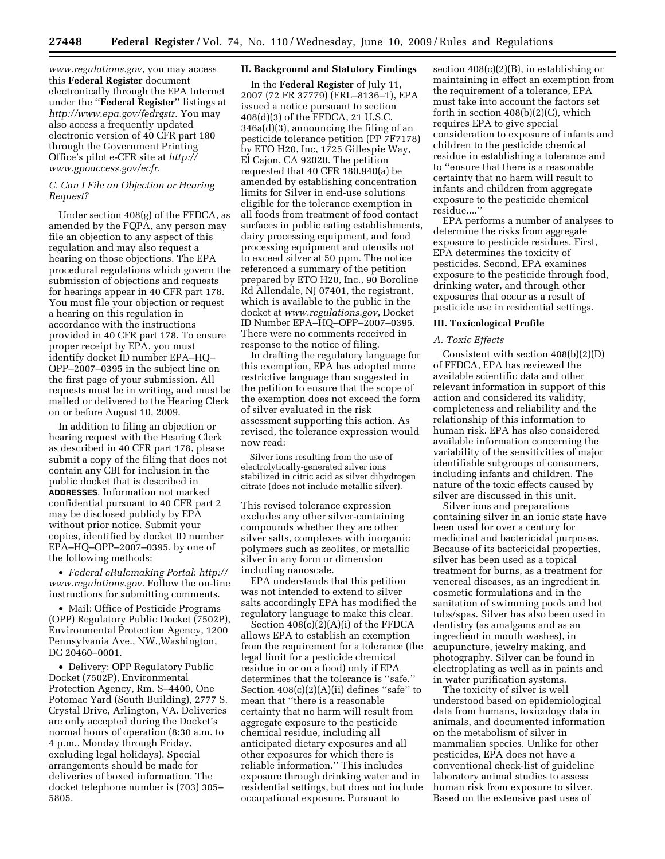*[www.regulations.gov](http://www.regulations.gov)*, you may access this **Federal Register** document electronically through the EPA Internet under the ''**Federal Register**'' listings at *<http://www.epa.gov/fedrgstr>*. You may also access a frequently updated electronic version of 40 CFR part 180 through the Government Printing [Office's pilot e-CFR site at](http://www.gpoaccess.gov/ecfr) *http:// www.gpoaccess.gov/ecfr*.

## *C. Can I File an Objection or Hearing Request?*

Under section 408(g) of the FFDCA, as amended by the FQPA, any person may file an objection to any aspect of this regulation and may also request a hearing on those objections. The EPA procedural regulations which govern the submission of objections and requests for hearings appear in 40 CFR part 178. You must file your objection or request a hearing on this regulation in accordance with the instructions provided in 40 CFR part 178. To ensure proper receipt by EPA, you must identify docket ID number EPA–HQ– OPP–2007–0395 in the subject line on the first page of your submission. All requests must be in writing, and must be mailed or delivered to the Hearing Clerk on or before August 10, 2009.

In addition to filing an objection or hearing request with the Hearing Clerk as described in 40 CFR part 178, please submit a copy of the filing that does not contain any CBI for inclusion in the public docket that is described in **ADDRESSES**. Information not marked confidential pursuant to 40 CFR part 2 may be disclosed publicly by EPA without prior notice. Submit your copies, identified by docket ID number EPA–HQ–OPP–2007–0395, by one of the following methods:

• *[Federal eRulemaking Portal](http://www.regulations.gov)*: *http:// www.regulations.gov*. Follow the on-line instructions for submitting comments.

• Mail: Office of Pesticide Programs (OPP) Regulatory Public Docket (7502P), Environmental Protection Agency, 1200 Pennsylvania Ave., NW.,Washington, DC 20460–0001.

• Delivery: OPP Regulatory Public Docket (7502P), Environmental Protection Agency, Rm. S–4400, One Potomac Yard (South Building), 2777 S. Crystal Drive, Arlington, VA. Deliveries are only accepted during the Docket's normal hours of operation (8:30 a.m. to 4 p.m., Monday through Friday, excluding legal holidays). Special arrangements should be made for deliveries of boxed information. The docket telephone number is (703) 305– 5805.

#### **II. Background and Statutory Findings**

In the **Federal Register** of July 11, 2007 (72 FR 37779) (FRL–8136–1), EPA issued a notice pursuant to section 408(d)(3) of the FFDCA, 21 U.S.C. 346a(d)(3), announcing the filing of an pesticide tolerance petition (PP 7F7178) by ETO H20, Inc, 1725 Gillespie Way, El Cajon, CA 92020. The petition requested that 40 CFR 180.940(a) be amended by establishing concentration limits for Silver in end-use solutions eligible for the tolerance exemption in all foods from treatment of food contact surfaces in public eating establishments, dairy processing equipment, and food processing equipment and utensils not to exceed silver at 50 ppm. The notice referenced a summary of the petition prepared by ETO H20, Inc., 90 Boroline Rd Allendale, NJ 07401, the registrant, which is available to the public in the docket at *[www.regulations.gov](http://www.regulations.gov)*, Docket ID Number EPA–HQ–OPP–2007–0395. There were no comments received in response to the notice of filing.

In drafting the regulatory language for this exemption, EPA has adopted more restrictive language than suggested in the petition to ensure that the scope of the exemption does not exceed the form of silver evaluated in the risk assessment supporting this action. As revised, the tolerance expression would now read:

Silver ions resulting from the use of electrolytically-generated silver ions stabilized in citric acid as silver dihydrogen citrate (does not include metallic silver).

This revised tolerance expression excludes any other silver-containing compounds whether they are other silver salts, complexes with inorganic polymers such as zeolites, or metallic silver in any form or dimension including nanoscale.

EPA understands that this petition was not intended to extend to silver salts accordingly EPA has modified the regulatory language to make this clear.

Section  $408(c)(2)(A)(i)$  of the FFDCA allows EPA to establish an exemption from the requirement for a tolerance (the legal limit for a pesticide chemical residue in or on a food) only if EPA determines that the tolerance is ''safe.'' Section  $408(c)(2)(A)(ii)$  defines "safe" to mean that ''there is a reasonable certainty that no harm will result from aggregate exposure to the pesticide chemical residue, including all anticipated dietary exposures and all other exposures for which there is reliable information.'' This includes exposure through drinking water and in residential settings, but does not include occupational exposure. Pursuant to

section 408(c)(2)(B), in establishing or maintaining in effect an exemption from the requirement of a tolerance, EPA must take into account the factors set forth in section 408(b)(2)(C), which requires EPA to give special consideration to exposure of infants and children to the pesticide chemical residue in establishing a tolerance and to ''ensure that there is a reasonable certainty that no harm will result to infants and children from aggregate exposure to the pesticide chemical residue....''

EPA performs a number of analyses to determine the risks from aggregate exposure to pesticide residues. First, EPA determines the toxicity of pesticides. Second, EPA examines exposure to the pesticide through food, drinking water, and through other exposures that occur as a result of pesticide use in residential settings.

#### **III. Toxicological Profile**

#### *A. Toxic Effects*

Consistent with section 408(b)(2)(D) of FFDCA, EPA has reviewed the available scientific data and other relevant information in support of this action and considered its validity, completeness and reliability and the relationship of this information to human risk. EPA has also considered available information concerning the variability of the sensitivities of major identifiable subgroups of consumers, including infants and children. The nature of the toxic effects caused by silver are discussed in this unit.

Silver ions and preparations containing silver in an ionic state have been used for over a century for medicinal and bactericidal purposes. Because of its bactericidal properties, silver has been used as a topical treatment for burns, as a treatment for venereal diseases, as an ingredient in cosmetic formulations and in the sanitation of swimming pools and hot tubs/spas. Silver has also been used in dentistry (as amalgams and as an ingredient in mouth washes), in acupuncture, jewelry making, and photography. Silver can be found in electroplating as well as in paints and in water purification systems.

The toxicity of silver is well understood based on epidemiological data from humans, toxicology data in animals, and documented information on the metabolism of silver in mammalian species. Unlike for other pesticides, EPA does not have a conventional check-list of guideline laboratory animal studies to assess human risk from exposure to silver. Based on the extensive past uses of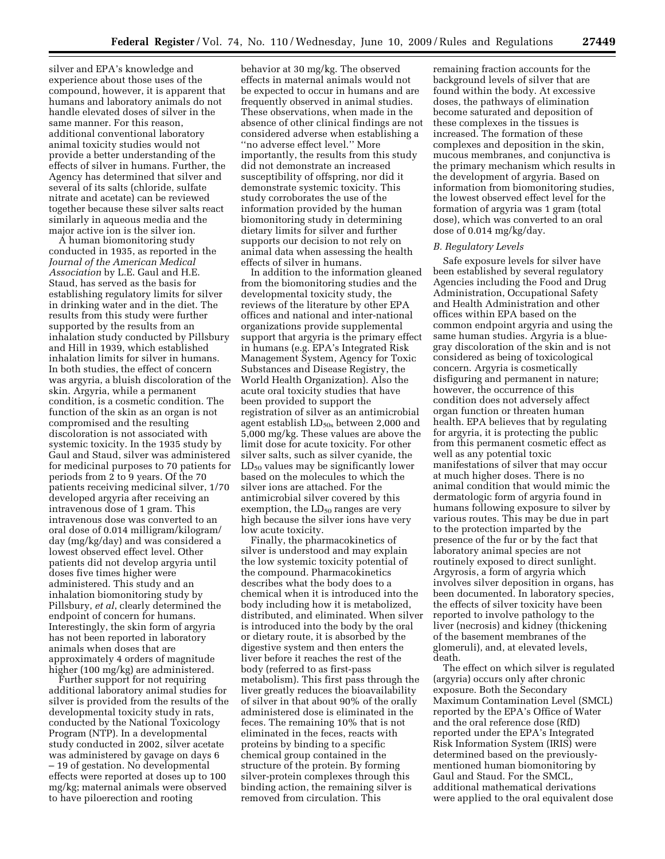silver and EPA's knowledge and experience about those uses of the compound, however, it is apparent that humans and laboratory animals do not handle elevated doses of silver in the same manner. For this reason, additional conventional laboratory animal toxicity studies would not provide a better understanding of the effects of silver in humans. Further, the Agency has determined that silver and several of its salts (chloride, sulfate nitrate and acetate) can be reviewed together because these silver salts react similarly in aqueous media and the major active ion is the silver ion.

A human biomonitoring study conducted in 1935, as reported in the *Journal of the American Medical Association* by L.E. Gaul and H.E. Staud, has served as the basis for establishing regulatory limits for silver in drinking water and in the diet. The results from this study were further supported by the results from an inhalation study conducted by Pillsbury and Hill in 1939, which established inhalation limits for silver in humans. In both studies, the effect of concern was argyria, a bluish discoloration of the skin. Argyria, while a permanent condition, is a cosmetic condition. The function of the skin as an organ is not compromised and the resulting discoloration is not associated with systemic toxicity. In the 1935 study by Gaul and Staud, silver was administered for medicinal purposes to 70 patients for periods from 2 to 9 years. Of the 70 patients receiving medicinal silver, 1/70 developed argyria after receiving an intravenous dose of 1 gram. This intravenous dose was converted to an oral dose of 0.014 milligram/kilogram/ day (mg/kg/day) and was considered a lowest observed effect level. Other patients did not develop argyria until doses five times higher were administered. This study and an inhalation biomonitoring study by Pillsbury, *et al*, clearly determined the endpoint of concern for humans. Interestingly, the skin form of argyria has not been reported in laboratory animals when doses that are approximately 4 orders of magnitude higher (100 mg/kg) are administered.

Further support for not requiring additional laboratory animal studies for silver is provided from the results of the developmental toxicity study in rats, conducted by the National Toxicology Program (NTP). In a developmental study conducted in 2002, silver acetate was administered by gavage on days 6 – 19 of gestation. No developmental effects were reported at doses up to 100 mg/kg; maternal animals were observed to have piloerection and rooting

behavior at 30 mg/kg. The observed effects in maternal animals would not be expected to occur in humans and are frequently observed in animal studies. These observations, when made in the absence of other clinical findings are not considered adverse when establishing a ''no adverse effect level.'' More importantly, the results from this study did not demonstrate an increased susceptibility of offspring, nor did it demonstrate systemic toxicity. This study corroborates the use of the information provided by the human biomonitoring study in determining dietary limits for silver and further supports our decision to not rely on animal data when assessing the health effects of silver in humans.

In addition to the information gleaned from the biomonitoring studies and the developmental toxicity study, the reviews of the literature by other EPA offices and national and inter-national organizations provide supplemental support that argyria is the primary effect in humans (e.g. EPA's Integrated Risk Management System, Agency for Toxic Substances and Disease Registry, the World Health Organization). Also the acute oral toxicity studies that have been provided to support the registration of silver as an antimicrobial agent establish  $LD<sub>50s</sub>$  between 2,000 and 5,000 mg/kg. These values are above the limit dose for acute toxicity. For other silver salts, such as silver cyanide, the  $LD_{50}$  values may be significantly lower based on the molecules to which the silver ions are attached. For the antimicrobial silver covered by this exemption, the  $LD_{50}$  ranges are very high because the silver ions have very low acute toxicity.

Finally, the pharmacokinetics of silver is understood and may explain the low systemic toxicity potential of the compound. Pharmacokinetics describes what the body does to a chemical when it is introduced into the body including how it is metabolized, distributed, and eliminated. When silver is introduced into the body by the oral or dietary route, it is absorbed by the digestive system and then enters the liver before it reaches the rest of the body (referred to as first-pass metabolism). This first pass through the liver greatly reduces the bioavailability of silver in that about 90% of the orally administered dose is eliminated in the feces. The remaining 10% that is not eliminated in the feces, reacts with proteins by binding to a specific chemical group contained in the structure of the protein. By forming silver-protein complexes through this binding action, the remaining silver is removed from circulation. This

remaining fraction accounts for the background levels of silver that are found within the body. At excessive doses, the pathways of elimination become saturated and deposition of these complexes in the tissues is increased. The formation of these complexes and deposition in the skin, mucous membranes, and conjunctiva is the primary mechanism which results in the development of argyria. Based on information from biomonitoring studies, the lowest observed effect level for the formation of argyria was 1 gram (total dose), which was converted to an oral dose of 0.014 mg/kg/day.

#### *B. Regulatory Levels*

Safe exposure levels for silver have been established by several regulatory Agencies including the Food and Drug Administration, Occupational Safety and Health Administration and other offices within EPA based on the common endpoint argyria and using the same human studies. Argyria is a bluegray discoloration of the skin and is not considered as being of toxicological concern. Argyria is cosmetically disfiguring and permanent in nature; however, the occurrence of this condition does not adversely affect organ function or threaten human health. EPA believes that by regulating for argyria, it is protecting the public from this permanent cosmetic effect as well as any potential toxic manifestations of silver that may occur at much higher doses. There is no animal condition that would mimic the dermatologic form of argyria found in humans following exposure to silver by various routes. This may be due in part to the protection imparted by the presence of the fur or by the fact that laboratory animal species are not routinely exposed to direct sunlight. Argyrosis, a form of argyria which involves silver deposition in organs, has been documented. In laboratory species, the effects of silver toxicity have been reported to involve pathology to the liver (necrosis) and kidney (thickening of the basement membranes of the glomeruli), and, at elevated levels, death.

The effect on which silver is regulated (argyria) occurs only after chronic exposure. Both the Secondary Maximum Contamination Level (SMCL) reported by the EPA's Office of Water and the oral reference dose (RfD) reported under the EPA's Integrated Risk Information System (IRIS) were determined based on the previouslymentioned human biomonitoring by Gaul and Staud. For the SMCL, additional mathematical derivations were applied to the oral equivalent dose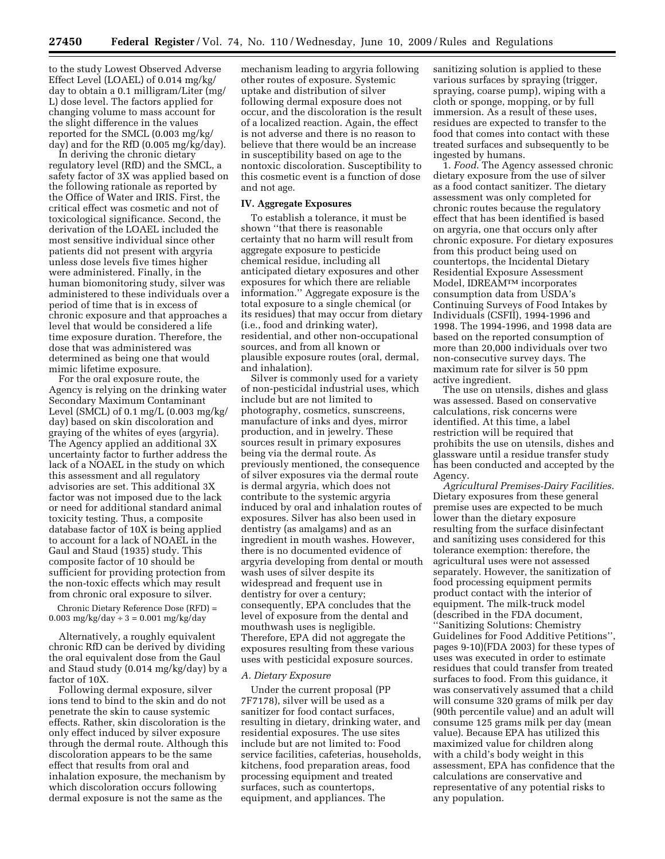to the study Lowest Observed Adverse Effect Level (LOAEL) of 0.014 mg/kg/ day to obtain a 0.1 milligram/Liter (mg/ L) dose level. The factors applied for changing volume to mass account for the slight difference in the values reported for the SMCL (0.003 mg/kg/ day) and for the RfD (0.005 mg/kg/day).

In deriving the chronic dietary regulatory level (RfD) and the SMCL, a safety factor of 3X was applied based on the following rationale as reported by the Office of Water and IRIS. First, the critical effect was cosmetic and not of toxicological significance. Second, the derivation of the LOAEL included the most sensitive individual since other patients did not present with argyria unless dose levels five times higher were administered. Finally, in the human biomonitoring study, silver was administered to these individuals over a period of time that is in excess of chronic exposure and that approaches a level that would be considered a life time exposure duration. Therefore, the dose that was administered was determined as being one that would mimic lifetime exposure.

For the oral exposure route, the Agency is relying on the drinking water Secondary Maximum Contaminant Level (SMCL) of 0.1 mg/L (0.003 mg/kg/ day) based on skin discoloration and graying of the whites of eyes (argyria). The Agency applied an additional 3X uncertainty factor to further address the lack of a NOAEL in the study on which this assessment and all regulatory advisories are set. This additional 3X factor was not imposed due to the lack or need for additional standard animal toxicity testing. Thus, a composite database factor of 10X is being applied to account for a lack of NOAEL in the Gaul and Staud (1935) study. This composite factor of 10 should be sufficient for providing protection from the non-toxic effects which may result from chronic oral exposure to silver.

Chronic Dietary Reference Dose (RFD) = 0.003 mg/kg/day  $\div$  3 = 0.001 mg/kg/day

Alternatively, a roughly equivalent chronic RfD can be derived by dividing the oral equivalent dose from the Gaul and Staud study (0.014 mg/kg/day) by a factor of 10X.

Following dermal exposure, silver ions tend to bind to the skin and do not penetrate the skin to cause systemic effects. Rather, skin discoloration is the only effect induced by silver exposure through the dermal route. Although this discoloration appears to be the same effect that results from oral and inhalation exposure, the mechanism by which discoloration occurs following dermal exposure is not the same as the

mechanism leading to argyria following other routes of exposure. Systemic uptake and distribution of silver following dermal exposure does not occur, and the discoloration is the result of a localized reaction. Again, the effect is not adverse and there is no reason to believe that there would be an increase in susceptibility based on age to the nontoxic discoloration. Susceptibility to this cosmetic event is a function of dose and not age.

#### **IV. Aggregate Exposures**

To establish a tolerance, it must be shown ''that there is reasonable certainty that no harm will result from aggregate exposure to pesticide chemical residue, including all anticipated dietary exposures and other exposures for which there are reliable information.'' Aggregate exposure is the total exposure to a single chemical (or its residues) that may occur from dietary (i.e., food and drinking water), residential, and other non-occupational sources, and from all known or plausible exposure routes (oral, dermal, and inhalation).

Silver is commonly used for a variety of non-pesticidal industrial uses, which include but are not limited to photography, cosmetics, sunscreens, manufacture of inks and dyes, mirror production, and in jewelry. These sources result in primary exposures being via the dermal route. As previously mentioned, the consequence of silver exposures via the dermal route is dermal argyria, which does not contribute to the systemic argyria induced by oral and inhalation routes of exposures. Silver has also been used in dentistry (as amalgams) and as an ingredient in mouth washes. However, there is no documented evidence of argyria developing from dental or mouth wash uses of silver despite its widespread and frequent use in dentistry for over a century; consequently, EPA concludes that the level of exposure from the dental and mouthwash uses is negligible. Therefore, EPA did not aggregate the exposures resulting from these various uses with pesticidal exposure sources.

#### *A. Dietary Exposure*

Under the current proposal (PP 7F7178), silver will be used as a sanitizer for food contact surfaces, resulting in dietary, drinking water, and residential exposures. The use sites include but are not limited to: Food service facilities, cafeterias, households, kitchens, food preparation areas, food processing equipment and treated surfaces, such as countertops, equipment, and appliances. The

sanitizing solution is applied to these various surfaces by spraying (trigger, spraying, coarse pump), wiping with a cloth or sponge, mopping, or by full immersion. As a result of these uses, residues are expected to transfer to the food that comes into contact with these treated surfaces and subsequently to be ingested by humans.

1. *Food*. The Agency assessed chronic dietary exposure from the use of silver as a food contact sanitizer. The dietary assessment was only completed for chronic routes because the regulatory effect that has been identified is based on argyria, one that occurs only after chronic exposure. For dietary exposures from this product being used on countertops, the Incidental Dietary Residential Exposure Assessment Model, IDREAMTM incorporates consumption data from USDA's Continuing Surveys of Food Intakes by Individuals (CSFII), 1994-1996 and 1998. The 1994-1996, and 1998 data are based on the reported consumption of more than 20,000 individuals over two non-consecutive survey days. The maximum rate for silver is 50 ppm active ingredient.

The use on utensils, dishes and glass was assessed. Based on conservative calculations, risk concerns were identified. At this time, a label restriction will be required that prohibits the use on utensils, dishes and glassware until a residue transfer study has been conducted and accepted by the Agency.

*Agricultural Premises-Dairy Facilities*. Dietary exposures from these general premise uses are expected to be much lower than the dietary exposure resulting from the surface disinfectant and sanitizing uses considered for this tolerance exemption: therefore, the agricultural uses were not assessed separately. However, the sanitization of food processing equipment permits product contact with the interior of equipment. The milk-truck model (described in the FDA document, ''Sanitizing Solutions: Chemistry Guidelines for Food Additive Petitions'', pages 9-10)(FDA 2003) for these types of uses was executed in order to estimate residues that could transfer from treated surfaces to food. From this guidance, it was conservatively assumed that a child will consume 320 grams of milk per day (90th percentile value) and an adult will consume 125 grams milk per day (mean value). Because EPA has utilized this maximized value for children along with a child's body weight in this assessment, EPA has confidence that the calculations are conservative and representative of any potential risks to any population.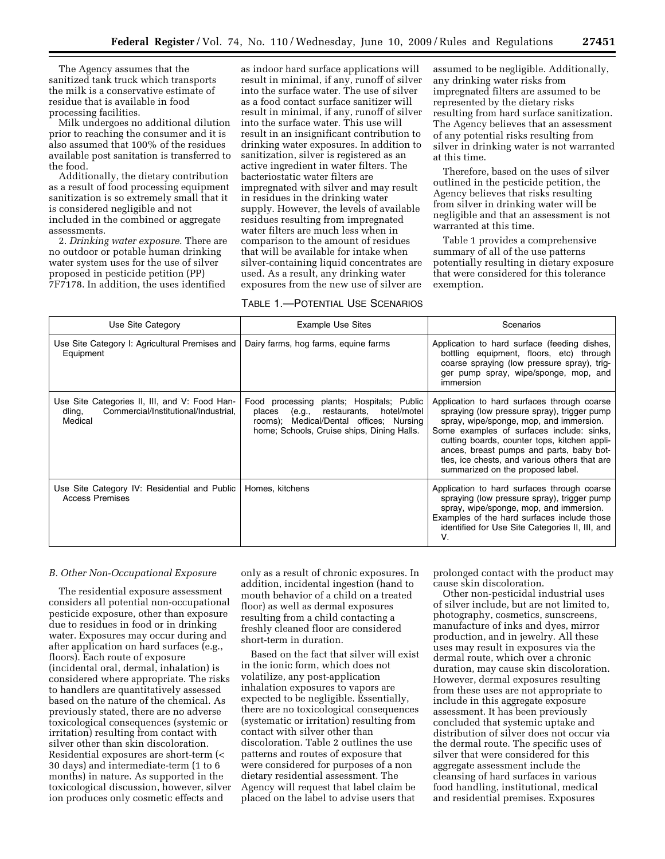The Agency assumes that the sanitized tank truck which transports the milk is a conservative estimate of residue that is available in food processing facilities.

Milk undergoes no additional dilution prior to reaching the consumer and it is also assumed that 100% of the residues available post sanitation is transferred to the food.

Additionally, the dietary contribution as a result of food processing equipment sanitization is so extremely small that it is considered negligible and not included in the combined or aggregate assessments.

2. *Drinking water exposure*. There are no outdoor or potable human drinking water system uses for the use of silver proposed in pesticide petition (PP) 7F7178. In addition, the uses identified

as indoor hard surface applications will result in minimal, if any, runoff of silver into the surface water. The use of silver as a food contact surface sanitizer will result in minimal, if any, runoff of silver into the surface water. This use will result in an insignificant contribution to drinking water exposures. In addition to sanitization, silver is registered as an active ingredient in water filters. The bacteriostatic water filters are impregnated with silver and may result in residues in the drinking water supply. However, the levels of available residues resulting from impregnated water filters are much less when in comparison to the amount of residues that will be available for intake when silver-containing liquid concentrates are used. As a result, any drinking water exposures from the new use of silver are

## TABLE 1.—POTENTIAL USE SCENARIOS

assumed to be negligible. Additionally, any drinking water risks from impregnated filters are assumed to be represented by the dietary risks resulting from hard surface sanitization. The Agency believes that an assessment of any potential risks resulting from silver in drinking water is not warranted at this time.

Therefore, based on the uses of silver outlined in the pesticide petition, the Agency believes that risks resulting from silver in drinking water will be negligible and that an assessment is not warranted at this time.

Table 1 provides a comprehensive summary of all of the use patterns potentially resulting in dietary exposure that were considered for this tolerance exemption.

| Use Site Category                                                                                          | <b>Example Use Sites</b>                                                                                                                                                        | Scenarios                                                                                                                                                                                                                                                                                                                                                            |
|------------------------------------------------------------------------------------------------------------|---------------------------------------------------------------------------------------------------------------------------------------------------------------------------------|----------------------------------------------------------------------------------------------------------------------------------------------------------------------------------------------------------------------------------------------------------------------------------------------------------------------------------------------------------------------|
| Use Site Category I: Agricultural Premises and<br>Equipment                                                | Dairy farms, hog farms, equine farms                                                                                                                                            | Application to hard surface (feeding dishes,<br>bottling equipment, floors, etc) through<br>coarse spraying (low pressure spray), trig-<br>ger pump spray, wipe/sponge, mop, and<br>immersion                                                                                                                                                                        |
| Use Site Categories II, III, and V: Food Han-<br>Commercial/Institutional/Industrial,<br>dling,<br>Medical | Food processing plants; Hospitals; Public<br>(e.g., restaurants, hotel/motel<br>places<br>rooms); Medical/Dental offices; Nursing<br>home; Schools, Cruise ships, Dining Halls. | Application to hard surfaces through coarse<br>spraying (low pressure spray), trigger pump<br>spray, wipe/sponge, mop, and immersion.<br>Some examples of surfaces include: sinks,<br>cutting boards, counter tops, kitchen appli-<br>ances, breast pumps and parts, baby bot-<br>tles, ice chests, and various others that are<br>summarized on the proposed label. |
| Use Site Category IV: Residential and Public<br><b>Access Premises</b>                                     | Homes, kitchens                                                                                                                                                                 | Application to hard surfaces through coarse<br>spraying (low pressure spray), trigger pump<br>spray, wipe/sponge, mop, and immersion.<br>Examples of the hard surfaces include those<br>identified for Use Site Categories II, III, and<br>V.                                                                                                                        |

#### *B. Other Non-Occupational Exposure*

The residential exposure assessment considers all potential non-occupational pesticide exposure, other than exposure due to residues in food or in drinking water. Exposures may occur during and after application on hard surfaces (e.g., floors). Each route of exposure (incidental oral, dermal, inhalation) is considered where appropriate. The risks to handlers are quantitatively assessed based on the nature of the chemical. As previously stated, there are no adverse toxicological consequences (systemic or irritation) resulting from contact with silver other than skin discoloration. Residential exposures are short-term (< 30 days) and intermediate-term (1 to 6 months) in nature. As supported in the toxicological discussion, however, silver ion produces only cosmetic effects and

only as a result of chronic exposures. In addition, incidental ingestion (hand to mouth behavior of a child on a treated floor) as well as dermal exposures resulting from a child contacting a freshly cleaned floor are considered short-term in duration.

Based on the fact that silver will exist in the ionic form, which does not volatilize, any post-application inhalation exposures to vapors are expected to be negligible. Essentially, there are no toxicological consequences (systematic or irritation) resulting from contact with silver other than discoloration. Table 2 outlines the use patterns and routes of exposure that were considered for purposes of a non dietary residential assessment. The Agency will request that label claim be placed on the label to advise users that

prolonged contact with the product may cause skin discoloration.

Other non-pesticidal industrial uses of silver include, but are not limited to, photography, cosmetics, sunscreens, manufacture of inks and dyes, mirror production, and in jewelry. All these uses may result in exposures via the dermal route, which over a chronic duration, may cause skin discoloration. However, dermal exposures resulting from these uses are not appropriate to include in this aggregate exposure assessment. It has been previously concluded that systemic uptake and distribution of silver does not occur via the dermal route. The specific uses of silver that were considered for this aggregate assessment include the cleansing of hard surfaces in various food handling, institutional, medical and residential premises. Exposures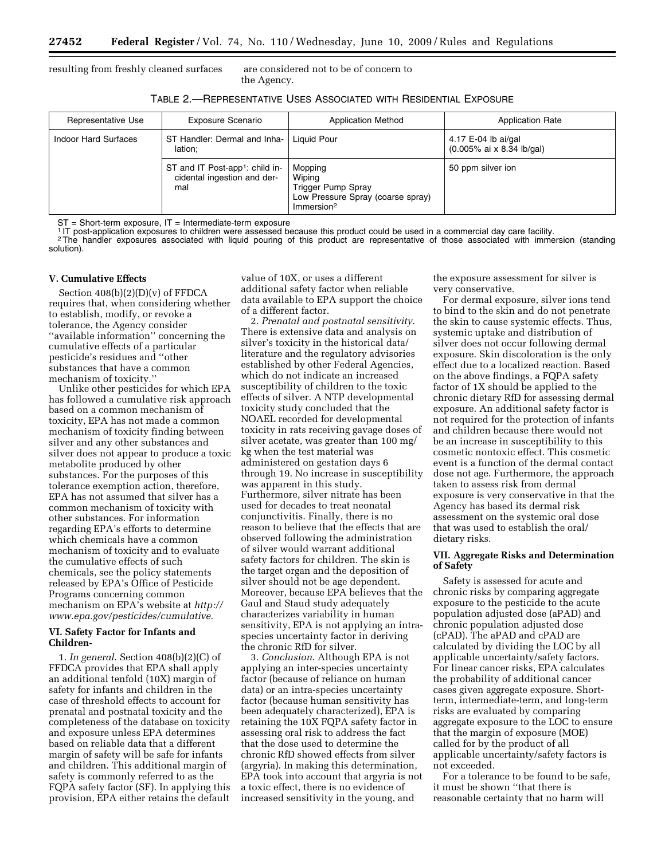resulting from freshly cleaned surfaces are considered not to be of concern to

the Agency.

| Table 2.—Representative Uses Associated with Residential Exposure |  |
|-------------------------------------------------------------------|--|
|-------------------------------------------------------------------|--|

| Representative Use   | <b>Exposure Scenario</b>                                                          | <b>Application Method</b>                                                                              | <b>Application Rate</b>                          |
|----------------------|-----------------------------------------------------------------------------------|--------------------------------------------------------------------------------------------------------|--------------------------------------------------|
| Indoor Hard Surfaces | ST Handler: Dermal and Inha-<br>lation:                                           | Liquid Pour                                                                                            | 4.17 E-04 lb ai/gal<br>(0.005% ai x 8.34 lb/gal) |
|                      | ST and IT Post-app <sup>1</sup> : child in-<br>cidental ingestion and der-<br>mal | Mopping<br>Wiping<br>Trigger Pump Spray<br>Low Pressure Spray (coarse spray)<br>Immersion <sup>2</sup> | 50 ppm silver ion                                |

 $ST = Short-term exposure, IT = Intermediate-term exposure$ 

1 IT post-application exposures to children were assessed because this product could be used in a commercial day care facility. <sup>2</sup>The handler exposures associated with liquid pouring of this product are representative of those associated with immersion (standing solution).

#### **V. Cumulative Effects**

Section 408(b)(2)(D)(v) of FFDCA requires that, when considering whether to establish, modify, or revoke a tolerance, the Agency consider ''available information'' concerning the cumulative effects of a particular pesticide's residues and ''other substances that have a common mechanism of toxicity.''

Unlike other pesticides for which EPA has followed a cumulative risk approach based on a common mechanism of toxicity, EPA has not made a common mechanism of toxicity finding between silver and any other substances and silver does not appear to produce a toxic metabolite produced by other substances. For the purposes of this tolerance exemption action, therefore, EPA has not assumed that silver has a common mechanism of toxicity with other substances. For information regarding EPA's efforts to determine which chemicals have a common mechanism of toxicity and to evaluate the cumulative effects of such chemicals, see the policy statements released by EPA's Office of Pesticide Programs concerning common mechanism on EPA's website at *http:// [www.epa.gov/pesticides/cumulative](http://www.epa.gov/pesticides/cumulative)*.

#### **VI. Safety Factor for Infants and Children-**

1. *In general*. Section 408(b)(2)(C) of FFDCA provides that EPA shall apply an additional tenfold (10X) margin of safety for infants and children in the case of threshold effects to account for prenatal and postnatal toxicity and the completeness of the database on toxicity and exposure unless EPA determines based on reliable data that a different margin of safety will be safe for infants and children. This additional margin of safety is commonly referred to as the FQPA safety factor (SF). In applying this provision, EPA either retains the default value of 10X, or uses a different additional safety factor when reliable data available to EPA support the choice of a different factor.

2. *Prenatal and postnatal sensitivity*. There is extensive data and analysis on silver's toxicity in the historical data/ literature and the regulatory advisories established by other Federal Agencies, which do not indicate an increased susceptibility of children to the toxic effects of silver. A NTP developmental toxicity study concluded that the NOAEL recorded for developmental toxicity in rats receiving gavage doses of silver acetate, was greater than 100 mg/ kg when the test material was administered on gestation days 6 through 19. No increase in susceptibility was apparent in this study. Furthermore, silver nitrate has been used for decades to treat neonatal conjunctivitis. Finally, there is no reason to believe that the effects that are observed following the administration of silver would warrant additional safety factors for children. The skin is the target organ and the deposition of silver should not be age dependent. Moreover, because EPA believes that the Gaul and Staud study adequately characterizes variability in human sensitivity, EPA is not applying an intraspecies uncertainty factor in deriving the chronic RfD for silver.

3. *Conclusion*. Although EPA is not applying an inter-species uncertainty factor (because of reliance on human data) or an intra-species uncertainty factor (because human sensitivity has been adequately characterized), EPA is retaining the 10X FQPA safety factor in assessing oral risk to address the fact that the dose used to determine the chronic RfD showed effects from silver (argyria). In making this determination, EPA took into account that argyria is not a toxic effect, there is no evidence of increased sensitivity in the young, and

the exposure assessment for silver is very conservative.

For dermal exposure, silver ions tend to bind to the skin and do not penetrate the skin to cause systemic effects. Thus, systemic uptake and distribution of silver does not occur following dermal exposure. Skin discoloration is the only effect due to a localized reaction. Based on the above findings, a FQPA safety factor of 1X should be applied to the chronic dietary RfD for assessing dermal exposure. An additional safety factor is not required for the protection of infants and children because there would not be an increase in susceptibility to this cosmetic nontoxic effect. This cosmetic event is a function of the dermal contact dose not age. Furthermore, the approach taken to assess risk from dermal exposure is very conservative in that the Agency has based its dermal risk assessment on the systemic oral dose that was used to establish the oral/ dietary risks.

#### **VII. Aggregate Risks and Determination of Safety**

Safety is assessed for acute and chronic risks by comparing aggregate exposure to the pesticide to the acute population adjusted dose (aPAD) and chronic population adjusted dose (cPAD). The aPAD and cPAD are calculated by dividing the LOC by all applicable uncertainty/safety factors. For linear cancer risks, EPA calculates the probability of additional cancer cases given aggregate exposure. Shortterm, intermediate-term, and long-term risks are evaluated by comparing aggregate exposure to the LOC to ensure that the margin of exposure (MOE) called for by the product of all applicable uncertainty/safety factors is not exceeded.

For a tolerance to be found to be safe, it must be shown ''that there is reasonable certainty that no harm will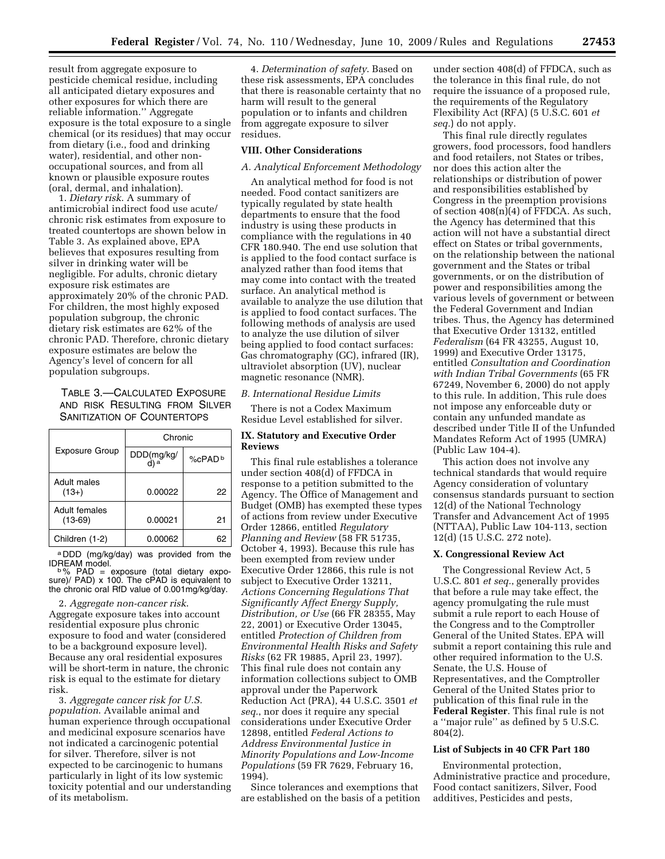result from aggregate exposure to pesticide chemical residue, including all anticipated dietary exposures and other exposures for which there are reliable information.'' Aggregate exposure is the total exposure to a single chemical (or its residues) that may occur from dietary (i.e., food and drinking water), residential, and other nonoccupational sources, and from all known or plausible exposure routes (oral, dermal, and inhalation).

1. *Dietary risk*. A summary of antimicrobial indirect food use acute/ chronic risk estimates from exposure to treated countertops are shown below in Table 3. As explained above, EPA believes that exposures resulting from silver in drinking water will be negligible. For adults, chronic dietary exposure risk estimates are approximately 20% of the chronic PAD. For children, the most highly exposed population subgroup, the chronic dietary risk estimates are 62% of the chronic PAD. Therefore, chronic dietary exposure estimates are below the Agency's level of concern for all population subgroups.

TABLE 3.—CALCULATED EXPOSURE AND RISK RESULTING FROM SILVER SANITIZATION OF COUNTERTOPS

|                            | Chronic    |                       |  |  |  |
|----------------------------|------------|-----------------------|--|--|--|
| <b>Exposure Group</b>      | DDD(mg/kg/ | $%$ CPAD <sup>b</sup> |  |  |  |
| Adult males<br>$(13+)$     | 0.00022    | 22                    |  |  |  |
| Adult females<br>$(13-69)$ | 0.00021    | 21                    |  |  |  |
| Children (1-2)             | 0.00062    |                       |  |  |  |

 $a$  DDD (mg/kg/day) was provided from the IDREAM model.

IDREAM model. b % PAD = exposure (total dietary expo-sure)/ PAD) x 100. The cPAD is equivalent to the chronic oral RfD value of 0.001mg/kg/day.

2. *Aggregate non-cancer risk*. Aggregate exposure takes into account residential exposure plus chronic exposure to food and water (considered to be a background exposure level). Because any oral residential exposures will be short-term in nature, the chronic risk is equal to the estimate for dietary risk.

3. *Aggregate cancer risk for U.S. population*. Available animal and human experience through occupational and medicinal exposure scenarios have not indicated a carcinogenic potential for silver. Therefore, silver is not expected to be carcinogenic to humans particularly in light of its low systemic toxicity potential and our understanding of its metabolism.

4. *Determination of safety*. Based on these risk assessments, EPA concludes that there is reasonable certainty that no harm will result to the general population or to infants and children from aggregate exposure to silver residues.

# **VIII. Other Considerations**

#### *A. Analytical Enforcement Methodology*

An analytical method for food is not needed. Food contact sanitizers are typically regulated by state health departments to ensure that the food industry is using these products in compliance with the regulations in 40 CFR 180.940. The end use solution that is applied to the food contact surface is analyzed rather than food items that may come into contact with the treated surface. An analytical method is available to analyze the use dilution that is applied to food contact surfaces. The following methods of analysis are used to analyze the use dilution of silver being applied to food contact surfaces: Gas chromatography (GC), infrared (IR), ultraviolet absorption (UV), nuclear magnetic resonance (NMR).

#### *B. International Residue Limits*

There is not a Codex Maximum Residue Level established for silver.

#### **IX. Statutory and Executive Order Reviews**

This final rule establishes a tolerance under section 408(d) of FFDCA in response to a petition submitted to the Agency. The Office of Management and Budget (OMB) has exempted these types of actions from review under Executive Order 12866, entitled *Regulatory Planning and Review* (58 FR 51735, October 4, 1993). Because this rule has been exempted from review under Executive Order 12866, this rule is not subject to Executive Order 13211, *Actions Concerning Regulations That Significantly Affect Energy Supply, Distribution, or Use* (66 FR 28355, May 22, 2001) or Executive Order 13045, entitled *Protection of Children from Environmental Health Risks and Safety Risks* (62 FR 19885, April 23, 1997). This final rule does not contain any information collections subject to OMB approval under the Paperwork Reduction Act (PRA), 44 U.S.C. 3501 *et seq.*, nor does it require any special considerations under Executive Order 12898, entitled *Federal Actions to Address Environmental Justice in Minority Populations and Low-Income Populations* (59 FR 7629, February 16, 1994).

Since tolerances and exemptions that are established on the basis of a petition

under section 408(d) of FFDCA, such as the tolerance in this final rule, do not require the issuance of a proposed rule, the requirements of the Regulatory Flexibility Act (RFA) (5 U.S.C. 601 *et seq.*) do not apply.

This final rule directly regulates growers, food processors, food handlers and food retailers, not States or tribes, nor does this action alter the relationships or distribution of power and responsibilities established by Congress in the preemption provisions of section 408(n)(4) of FFDCA. As such, the Agency has determined that this action will not have a substantial direct effect on States or tribal governments, on the relationship between the national government and the States or tribal governments, or on the distribution of power and responsibilities among the various levels of government or between the Federal Government and Indian tribes. Thus, the Agency has determined that Executive Order 13132, entitled *Federalism* (64 FR 43255, August 10, 1999) and Executive Order 13175, entitled *Consultation and Coordination with Indian Tribal Governments* (65 FR 67249, November 6, 2000) do not apply to this rule. In addition, This rule does not impose any enforceable duty or contain any unfunded mandate as described under Title II of the Unfunded Mandates Reform Act of 1995 (UMRA) (Public Law 104-4).

This action does not involve any technical standards that would require Agency consideration of voluntary consensus standards pursuant to section 12(d) of the National Technology Transfer and Advancement Act of 1995 (NTTAA), Public Law 104-113, section 12(d) (15 U.S.C. 272 note).

#### **X. Congressional Review Act**

The Congressional Review Act, 5 U.S.C. 801 *et seq.*, generally provides that before a rule may take effect, the agency promulgating the rule must submit a rule report to each House of the Congress and to the Comptroller General of the United States. EPA will submit a report containing this rule and other required information to the U.S. Senate, the U.S. House of Representatives, and the Comptroller General of the United States prior to publication of this final rule in the **Federal Register**. This final rule is not a ''major rule'' as defined by 5 U.S.C. 804(2).

#### **List of Subjects in 40 CFR Part 180**

Environmental protection, Administrative practice and procedure, Food contact sanitizers, Silver, Food additives, Pesticides and pests,